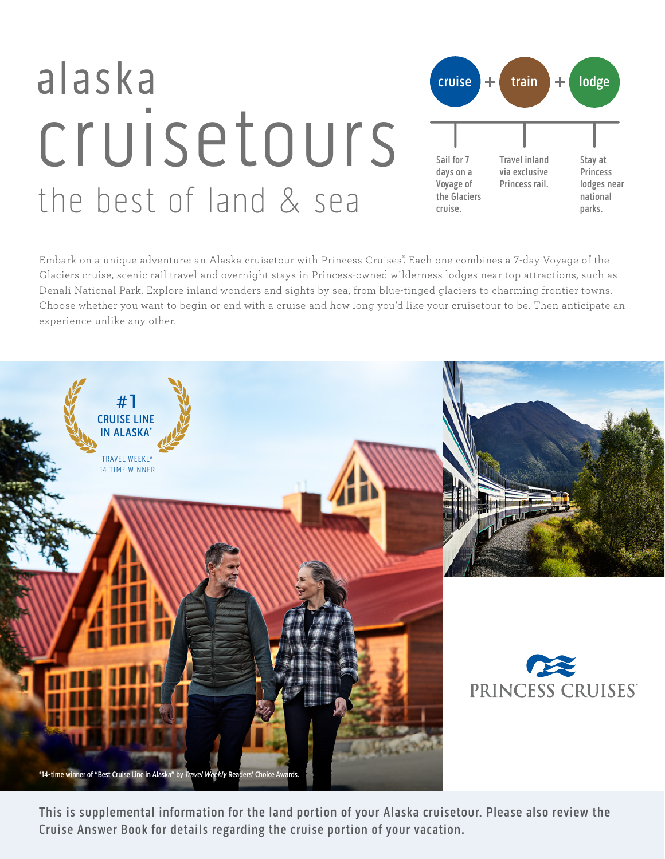# alaska **+ +** cruisetours the best of land & sea



Embark on a unique adventure: an Alaska cruisetour with Princess Cruises. Each one combines a 7-day Voyage of the Glaciers cruise, scenic rail travel and overnight stays in Princess-owned wilderness lodges near top attractions, such as Denali National Park. Explore inland wonders and sights by sea, from blue-tinged glaciers to charming frontier towns. Choose whether you want to begin or end with a cruise and how long you'd like your cruisetour to be. Then anticipate an experience unlike any other.



This is supplemental information for the land portion of your Alaska cruisetour. Please also review the Cruise Answer Book for details regarding the cruise portion of your vacation.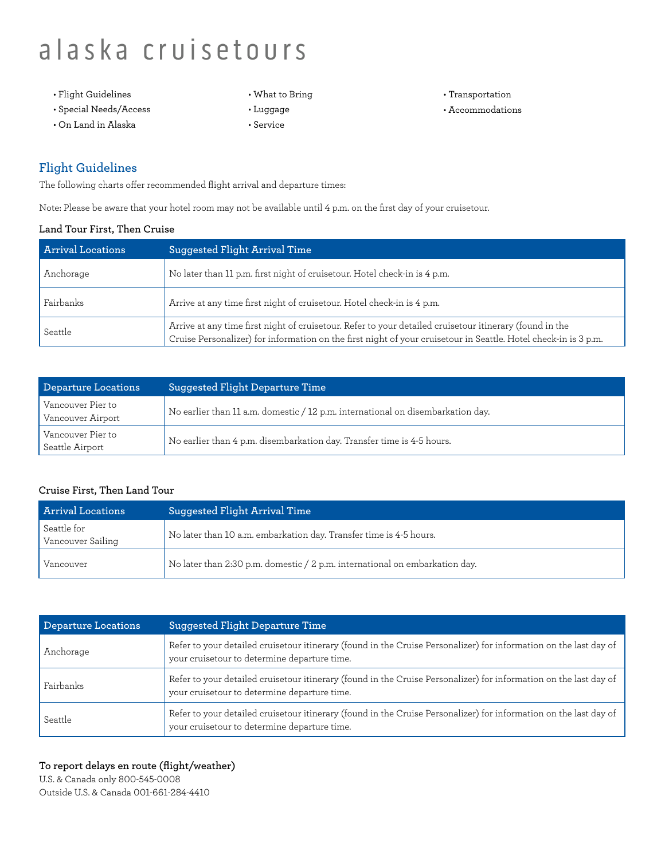- Flight Guidelines
- Special Needs/Access
- On Land in Alaska
- What to Bring
- Luggage
- Service
- Transportation
- Accommodations

### **Flight Guidelines**

The following charts offer recommended flight arrival and departure times:

Note: Please be aware that your hotel room may not be available until 4 p.m. on the first day of your cruisetour.

#### **Land Tour First, Then Cruise**

| <b>Arrival Locations</b> | Suggested Flight Arrival Time                                                                                                                                                                                              |
|--------------------------|----------------------------------------------------------------------------------------------------------------------------------------------------------------------------------------------------------------------------|
| Anchorage                | No later than 11 p.m. first night of cruisetour. Hotel check-in is 4 p.m.                                                                                                                                                  |
| Fairbanks                | Arrive at any time first night of cruisetour. Hotel check-in is 4 p.m.                                                                                                                                                     |
| Seattle                  | Arrive at any time first night of cruisetour. Refer to your detailed cruisetour itinerary (found in the<br>Cruise Personalizer) for information on the first night of your cruisetour in Seattle. Hotel check-in is 3 p.m. |

| Departure Locations                    | Suggested Flight Departure Time                                                 |  |  |
|----------------------------------------|---------------------------------------------------------------------------------|--|--|
| Vancouver Pier to<br>Vancouver Airport | No earlier than 11 a.m. domestic / 12 p.m. international on disembarkation day. |  |  |
| Vancouver Pier to<br>Seattle Airport   | No earlier than 4 p.m. disembarkation day. Transfer time is 4-5 hours.          |  |  |

#### **Cruise First, Then Land Tour**

| <b>Arrival Locations</b>         | Suggested Flight Arrival Time                                               |
|----------------------------------|-----------------------------------------------------------------------------|
| Seattle for<br>Vancouver Sailing | No later than 10 a.m. embarkation day. Transfer time is 4-5 hours.          |
| Vancouver                        | No later than 2:30 p.m. domestic / 2 p.m. international on embarkation day. |

| Departure Locations | Suggested Flight Departure Time                                                                                                                                   |
|---------------------|-------------------------------------------------------------------------------------------------------------------------------------------------------------------|
| Anchorage           | Refer to your detailed cruisetour itinerary (found in the Cruise Personalizer) for information on the last day of<br>your cruisetour to determine departure time. |
| Fairbanks           | Refer to your detailed cruisetour itinerary (found in the Cruise Personalizer) for information on the last day of<br>your cruisetour to determine departure time. |
| Seattle             | Refer to your detailed cruisetour itinerary (found in the Cruise Personalizer) for information on the last day of<br>your cruisetour to determine departure time. |

#### **To report delays en route (flight/weather)**

U.S. & Canada only 800-545-0008 Outside U.S. & Canada 001-661-284-4410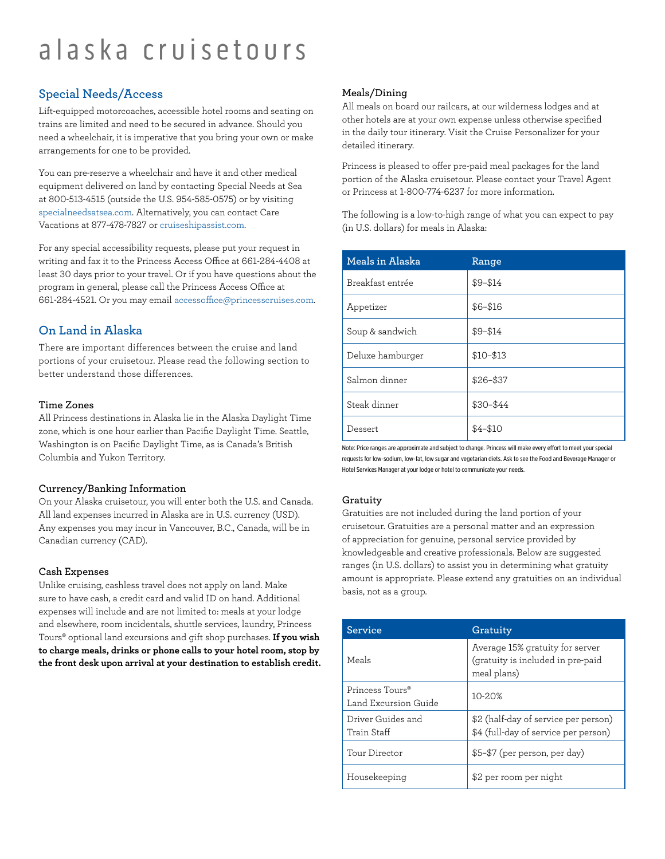### **Special Needs/Access**

Lift-equipped motorcoaches, accessible hotel rooms and seating on trains are limited and need to be secured in advance. Should you need a wheelchair, it is imperative that you bring your own or make arrangements for one to be provided.

You can pre-reserve a wheelchair and have it and other medical equipment delivered on land by contacting Special Needs at Sea at 800-513-4515 (outside the U.S. 954-585-0575) or by visiting [specialneedsatsea.com.](http://specialneedsatsea.com/) Alternatively, you can contact Care Vacations at 877-478-7827 or [cruiseshipassist.com](http://cruiseshipassist.com/).

For any special accessibility requests, please put your request in writing and fax it to the Princess Access Office at 661-284-4408 at least 30 days prior to your travel. Or if you have questions about the program in general, please call the Princess Access Office at 661-284-4521. Or you may email [accessoffice@princesscruises.com.](mailto:accessoffice%40princesscruises.com?subject=)

### **On Land in Alaska**

There are important differences between the cruise and land portions of your cruisetour. Please read the following section to better understand those differences.

#### **Time Zones**

All Princess destinations in Alaska lie in the Alaska Daylight Time zone, which is one hour earlier than Pacific Daylight Time. Seattle, Washington is on Pacific Daylight Time, as is Canada's British Columbia and Yukon Territory.

#### **Currency/Banking Information**

On your Alaska cruisetour, you will enter both the U.S. and Canada. All land expenses incurred in Alaska are in U.S. currency (USD). Any expenses you may incur in Vancouver, B.C., Canada, will be in Canadian currency (CAD).

#### **Cash Expenses**

Unlike cruising, cashless travel does not apply on land. Make sure to have cash, a credit card and valid ID on hand. Additional expenses will include and are not limited to: meals at your lodge and elsewhere, room incidentals, shuttle services, laundry, Princess Tours® optional land excursions and gift shop purchases. **If you wish to charge meals, drinks or phone calls to your hotel room, stop by the front desk upon arrival at your destination to establish credit.**

#### **Meals/Dining**

All meals on board our railcars, at our wilderness lodges and at other hotels are at your own expense unless otherwise specified in the daily tour itinerary. Visit the Cruise Personalizer for your detailed itinerary.

Princess is pleased to offer pre-paid meal packages for the land portion of the Alaska cruisetour. Please contact your Travel Agent or Princess at 1-800-774-6237 for more information.

The following is a low-to-high range of what you can expect to pay (in U.S. dollars) for meals in Alaska:

| Meals in Alaska  | Range       |
|------------------|-------------|
| Breakfast entrée | $$9 - $14$  |
| Appetizer        | $$6 - $16$  |
| Soup & sandwich  | $$9 - $14$  |
| Deluxe hamburger | $$10 - $13$ |
| Salmon dinner    | $$26 - $37$ |
| Steak dinner     | \$30-\$44   |
| Dessert          | $$4 - $10$  |

Note: Price ranges are approximate and subject to change. Princess will make every effort to meet your special requests for low-sodium, low-fat, low sugar and vegetarian diets. Ask to see the Food and Beverage Manager or Hotel Services Manager at your lodge or hotel to communicate your needs.

#### **Gratuity**

Gratuities are not included during the land portion of your cruisetour. Gratuities are a personal matter and an expression of appreciation for genuine, personal service provided by knowledgeable and creative professionals. Below are suggested ranges (in U.S. dollars) to assist you in determining what gratuity amount is appropriate. Please extend any gratuities on an individual basis, not as a group.

| Service                                             | Gratuity                                                                            |  |  |
|-----------------------------------------------------|-------------------------------------------------------------------------------------|--|--|
| Meals                                               | Average 15% gratuity for server<br>(gratuity is included in pre-paid<br>meal plans) |  |  |
| Princess Tours <sup>®</sup><br>Land Excursion Guide | 10-20%                                                                              |  |  |
| Driver Guides and<br>Train Staff                    | \$2 (half-day of service per person)<br>\$4 (full-day of service per person)        |  |  |
| Tour Director                                       | \$5-\$7 (per person, per day)                                                       |  |  |
| Housekeeping                                        | \$2 per room per night                                                              |  |  |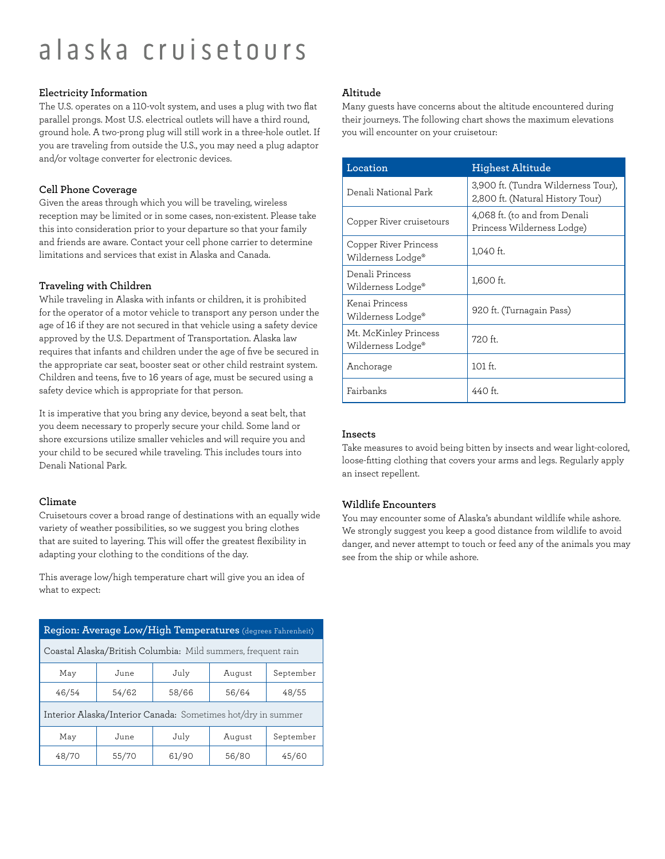#### **Electricity Information**

The U.S. operates on a 110-volt system, and uses a plug with two flat parallel prongs. Most U.S. electrical outlets will have a third round, ground hole. A two-prong plug will still work in a three-hole outlet. If you are traveling from outside the U.S., you may need a plug adaptor and/or voltage converter for electronic devices.

#### **Cell Phone Coverage**

Given the areas through which you will be traveling, wireless reception may be limited or in some cases, non-existent. Please take this into consideration prior to your departure so that your family and friends are aware. Contact your cell phone carrier to determine limitations and services that exist in Alaska and Canada.

#### **Traveling with Children**

While traveling in Alaska with infants or children, it is prohibited for the operator of a motor vehicle to transport any person under the age of 16 if they are not secured in that vehicle using a safety device approved by the U.S. Department of Transportation. Alaska law requires that infants and children under the age of five be secured in the appropriate car seat, booster seat or other child restraint system. Children and teens, five to 16 years of age, must be secured using a safety device which is appropriate for that person.

It is imperative that you bring any device, beyond a seat belt, that you deem necessary to properly secure your child. Some land or shore excursions utilize smaller vehicles and will require you and your child to be secured while traveling. This includes tours into Denali National Park.

#### **Climate**

Cruisetours cover a broad range of destinations with an equally wide variety of weather possibilities, so we suggest you bring clothes that are suited to layering. This will offer the greatest flexibility in adapting your clothing to the conditions of the day.

This average low/high temperature chart will give you an idea of what to expect:

| Region: Average Low/High Temperatures (degrees Fahrenheit)   |       |       |        |           |
|--------------------------------------------------------------|-------|-------|--------|-----------|
| Coastal Alaska/British Columbia: Mild summers, frequent rain |       |       |        |           |
| May                                                          | June  | July  | August | September |
| 46/54                                                        | 54/62 | 58/66 | 56/64  | 48/55     |
| Interior Alaska/Interior Canada: Sometimes hot/dry in summer |       |       |        |           |
| May                                                          | June  | July  | August | September |
| 48/70                                                        | 55/70 | 61/90 | 56/80  | 45/60     |

#### **Altitude**

Many guests have concerns about the altitude encountered during their journeys. The following chart shows the maximum elevations you will encounter on your cruisetour:

| Location                                   | <b>Highest Altitude</b>                                                 |  |  |
|--------------------------------------------|-------------------------------------------------------------------------|--|--|
| Denali National Park                       | 3,900 ft. (Tundra Wilderness Tour),<br>2,800 ft. (Natural History Tour) |  |  |
| Copper River cruisetours                   | 4,068 ft. (to and from Denali<br>Princess Wilderness Lodge)             |  |  |
| Copper River Princess<br>Wilderness Lodge® | 1,040 ft.                                                               |  |  |
| Denali Princess<br>Wilderness Lodge®       | 1,600 ft.                                                               |  |  |
| Kenai Princess<br>Wilderness Lodge®        | 920 ft. (Turnagain Pass)                                                |  |  |
| Mt. McKinley Princess<br>Wilderness Lodge® | $720$ ft.                                                               |  |  |
| Anchorage                                  | 101 ft.                                                                 |  |  |
| Fairbanks                                  | $440$ ft.                                                               |  |  |

#### **Insects**

Take measures to avoid being bitten by insects and wear light-colored, loose-fitting clothing that covers your arms and legs. Regularly apply an insect repellent.

#### **Wildlife Encounters**

You may encounter some of Alaska's abundant wildlife while ashore. We strongly suggest you keep a good distance from wildlife to avoid danger, and never attempt to touch or feed any of the animals you may see from the ship or while ashore.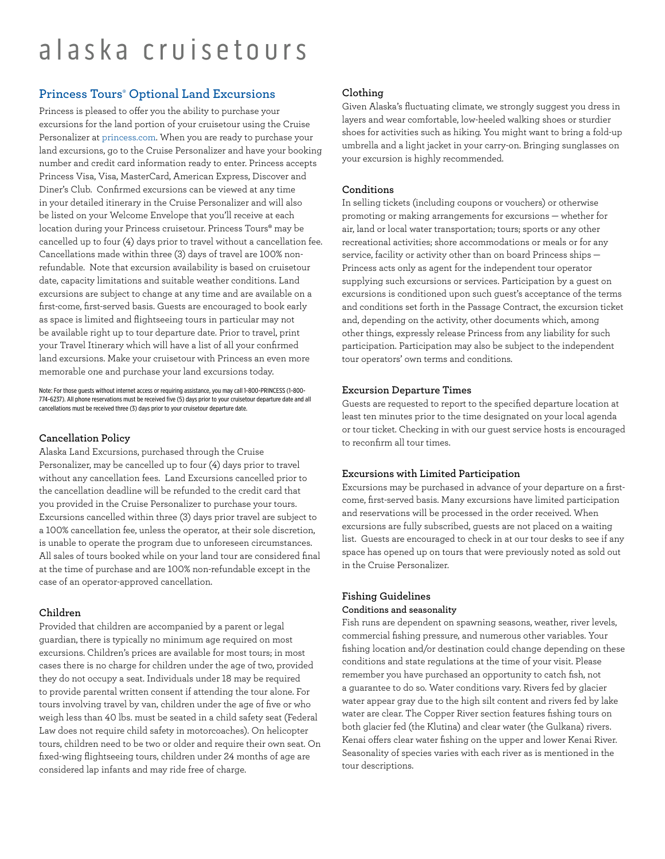### **Princess Tours**® **Optional Land Excursions**

Princess is pleased to offer you the ability to purchase your excursions for the land portion of your cruisetour using the Cruise Personalizer at [princess.com.](http://princess.com/) When you are ready to purchase your land excursions, go to the Cruise Personalizer and have your booking number and credit card information ready to enter. Princess accepts Princess Visa, Visa, MasterCard, American Express, Discover and Diner's Club. Confirmed excursions can be viewed at any time in your detailed itinerary in the Cruise Personalizer and will also be listed on your Welcome Envelope that you'll receive at each location during your Princess cruisetour. Princess Tours® may be cancelled up to four (4) days prior to travel without a cancellation fee. Cancellations made within three (3) days of travel are 100% nonrefundable. Note that excursion availability is based on cruisetour date, capacity limitations and suitable weather conditions. Land excursions are subject to change at any time and are available on a first-come, first-served basis. Guests are encouraged to book early as space is limited and flightseeing tours in particular may not be available right up to tour departure date. Prior to travel, print your Travel Itinerary which will have a list of all your confirmed land excursions. Make your cruisetour with Princess an even more memorable one and purchase your land excursions today.

Note: For those guests without internet access or requiring assistance, you may call 1-800-PRINCESS (1-800- 774-6237). All phone reservations must be received five (5) days prior to your cruisetour departure date and all cancellations must be received three (3) days prior to your cruisetour departure date.

#### **Cancellation Policy**

Alaska Land Excursions, purchased through the Cruise Personalizer, may be cancelled up to four (4) days prior to travel without any cancellation fees. Land Excursions cancelled prior to the cancellation deadline will be refunded to the credit card that you provided in the Cruise Personalizer to purchase your tours. Excursions cancelled within three (3) days prior travel are subject to a 100% cancellation fee, unless the operator, at their sole discretion, is unable to operate the program due to unforeseen circumstances. All sales of tours booked while on your land tour are considered final at the time of purchase and are 100% non-refundable except in the case of an operator-approved cancellation.

#### **Children**

Provided that children are accompanied by a parent or legal guardian, there is typically no minimum age required on most excursions. Children's prices are available for most tours; in most cases there is no charge for children under the age of two, provided they do not occupy a seat. Individuals under 18 may be required to provide parental written consent if attending the tour alone. For tours involving travel by van, children under the age of five or who weigh less than 40 lbs. must be seated in a child safety seat (Federal Law does not require child safety in motorcoaches). On helicopter tours, children need to be two or older and require their own seat. On fixed-wing flightseeing tours, children under 24 months of age are considered lap infants and may ride free of charge.

#### **Clothing**

Given Alaska's fluctuating climate, we strongly suggest you dress in layers and wear comfortable, low-heeled walking shoes or sturdier shoes for activities such as hiking. You might want to bring a fold-up umbrella and a light jacket in your carry-on. Bringing sunglasses on your excursion is highly recommended.

#### **Conditions**

In selling tickets (including coupons or vouchers) or otherwise promoting or making arrangements for excursions — whether for air, land or local water transportation; tours; sports or any other recreational activities; shore accommodations or meals or for any service, facility or activity other than on board Princess ships — Princess acts only as agent for the independent tour operator supplying such excursions or services. Participation by a guest on excursions is conditioned upon such guest's acceptance of the terms and conditions set forth in the Passage Contract, the excursion ticket and, depending on the activity, other documents which, among other things, expressly release Princess from any liability for such participation. Participation may also be subject to the independent tour operators' own terms and conditions.

#### **Excursion Departure Times**

Guests are requested to report to the specified departure location at least ten minutes prior to the time designated on your local agenda or tour ticket. Checking in with our guest service hosts is encouraged to reconfirm all tour times.

#### **Excursions with Limited Participation**

Excursions may be purchased in advance of your departure on a firstcome, first-served basis. Many excursions have limited participation and reservations will be processed in the order received. When excursions are fully subscribed, guests are not placed on a waiting list. Guests are encouraged to check in at our tour desks to see if any space has opened up on tours that were previously noted as sold out in the Cruise Personalizer.

## **Fishing Guidelines**

#### **Conditions and seasonality**

Fish runs are dependent on spawning seasons, weather, river levels, commercial fishing pressure, and numerous other variables. Your fishing location and/or destination could change depending on these conditions and state regulations at the time of your visit. Please remember you have purchased an opportunity to catch fish, not a guarantee to do so. Water conditions vary. Rivers fed by glacier water appear gray due to the high silt content and rivers fed by lake water are clear. The Copper River section features fishing tours on both glacier fed (the Klutina) and clear water (the Gulkana) rivers. Kenai offers clear water fishing on the upper and lower Kenai River. Seasonality of species varies with each river as is mentioned in the tour descriptions.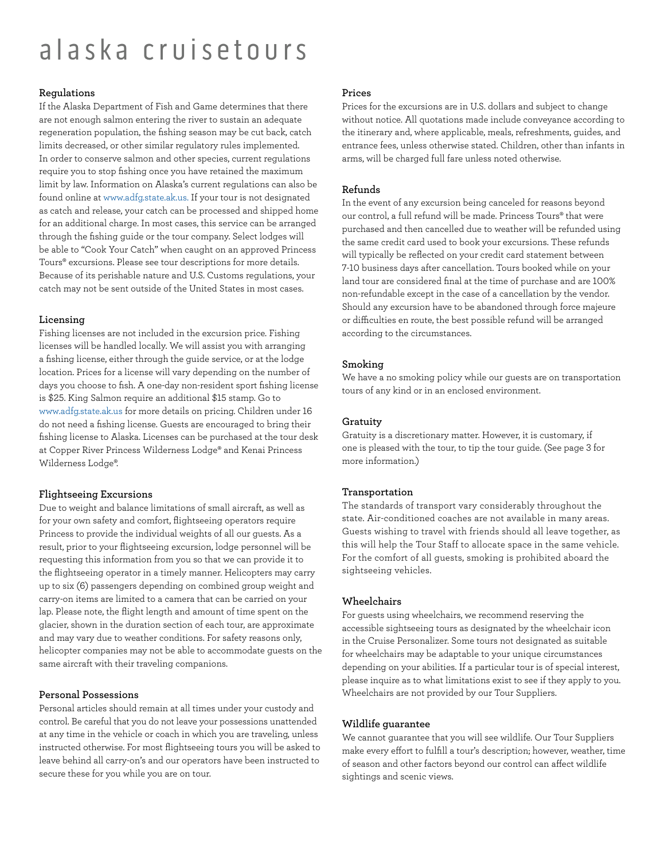#### **Regulations**

If the Alaska Department of Fish and Game determines that there are not enough salmon entering the river to sustain an adequate regeneration population, the fishing season may be cut back, catch limits decreased, or other similar regulatory rules implemented. In order to conserve salmon and other species, current regulations require you to stop fishing once you have retained the maximum limit by law. Information on Alaska's current regulations can also be found online at [www.adfg.state.ak.us](http://www.adfg.state.ak.us/). If your tour is not designated as catch and release, your catch can be processed and shipped home for an additional charge. In most cases, this service can be arranged through the fishing guide or the tour company. Select lodges will be able to "Cook Your Catch" when caught on an approved Princess Tours® excursions. Please see tour descriptions for more details. Because of its perishable nature and U.S. Customs regulations, your catch may not be sent outside of the United States in most cases.

#### **Licensing**

Fishing licenses are not included in the excursion price. Fishing licenses will be handled locally. We will assist you with arranging a fishing license, either through the guide service, or at the lodge location. Prices for a license will vary depending on the number of days you choose to fish. A one-day non-resident sport fishing license is \$25. King Salmon require an additional \$15 stamp. Go to [www.adfg.state.ak.us](http://www.adfg.state.ak.us/) for more details on pricing. Children under 16 do not need a fishing license. Guests are encouraged to bring their fishing license to Alaska. Licenses can be purchased at the tour desk at Copper River Princess Wilderness Lodge® and Kenai Princess Wilderness Lodge®.

#### **Flightseeing Excursions**

Due to weight and balance limitations of small aircraft, as well as for your own safety and comfort, flightseeing operators require Princess to provide the individual weights of all our guests. As a result, prior to your flightseeing excursion, lodge personnel will be requesting this information from you so that we can provide it to the flightseeing operator in a timely manner. Helicopters may carry up to six (6) passengers depending on combined group weight and carry-on items are limited to a camera that can be carried on your lap. Please note, the flight length and amount of time spent on the glacier, shown in the duration section of each tour, are approximate and may vary due to weather conditions. For safety reasons only, helicopter companies may not be able to accommodate guests on the same aircraft with their traveling companions.

#### **Personal Possessions**

Personal articles should remain at all times under your custody and control. Be careful that you do not leave your possessions unattended at any time in the vehicle or coach in which you are traveling, unless instructed otherwise. For most flightseeing tours you will be asked to leave behind all carry-on's and our operators have been instructed to secure these for you while you are on tour.

#### **Prices**

Prices for the excursions are in U.S. dollars and subject to change without notice. All quotations made include conveyance according to the itinerary and, where applicable, meals, refreshments, guides, and entrance fees, unless otherwise stated. Children, other than infants in arms, will be charged full fare unless noted otherwise.

#### **Refunds**

In the event of any excursion being canceled for reasons beyond our control, a full refund will be made. Princess Tours® that were purchased and then cancelled due to weather will be refunded using the same credit card used to book your excursions. These refunds will typically be reflected on your credit card statement between 7-10 business days after cancellation. Tours booked while on your land tour are considered final at the time of purchase and are 100% non-refundable except in the case of a cancellation by the vendor. Should any excursion have to be abandoned through force majeure or difficulties en route, the best possible refund will be arranged according to the circumstances.

#### **Smoking**

We have a no smoking policy while our guests are on transportation tours of any kind or in an enclosed environment.

#### **Gratuity**

Gratuity is a discretionary matter. However, it is customary, if one is pleased with the tour, to tip the tour guide. (See page 3 for more information.)

#### **Transportation**

The standards of transport vary considerably throughout the state. Air-conditioned coaches are not available in many areas. Guests wishing to travel with friends should all leave together, as this will help the Tour Staff to allocate space in the same vehicle. For the comfort of all guests, smoking is prohibited aboard the sightseeing vehicles.

#### **Wheelchairs**

For guests using wheelchairs, we recommend reserving the accessible sightseeing tours as designated by the wheelchair icon in the Cruise Personalizer. Some tours not designated as suitable for wheelchairs may be adaptable to your unique circumstances depending on your abilities. If a particular tour is of special interest, please inquire as to what limitations exist to see if they apply to you. Wheelchairs are not provided by our Tour Suppliers.

#### **Wildlife guarantee**

We cannot guarantee that you will see wildlife. Our Tour Suppliers make every effort to fulfill a tour's description; however, weather, time of season and other factors beyond our control can affect wildlife sightings and scenic views.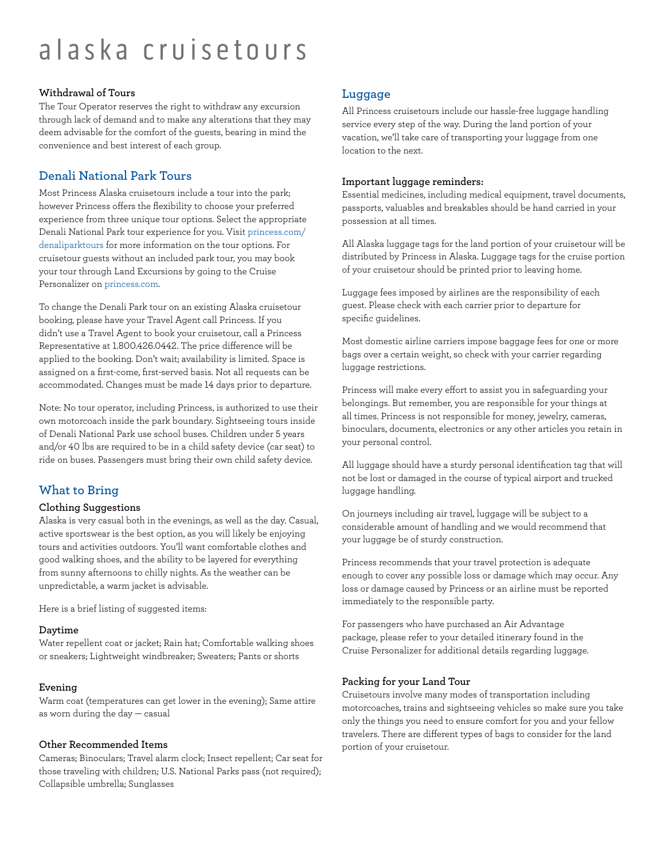#### **Withdrawal of Tours**

The Tour Operator reserves the right to withdraw any excursion through lack of demand and to make any alterations that they may deem advisable for the comfort of the guests, bearing in mind the convenience and best interest of each group.

### **Denali National Park Tours**

Most Princess Alaska cruisetours include a tour into the park; however Princess offers the flexibility to choose your preferred experience from three unique tour options. Select the appropriate [Denali National Park tour experience for you. Visit princess.com/](http://princess.com/denaliparktours) denaliparktours for more information on the tour options. For cruisetour guests without an included park tour, you may book your tour through Land Excursions by going to the Cruise Personalizer on [princess.com.](http://princess.com/)

To change the Denali Park tour on an existing Alaska cruisetour booking, please have your Travel Agent call Princess. If you didn't use a Travel Agent to book your cruisetour, call a Princess Representative at 1.800.426.0442. The price difference will be applied to the booking. Don't wait; availability is limited. Space is assigned on a first-come, first-served basis. Not all requests can be accommodated. Changes must be made 14 days prior to departure.

Note: No tour operator, including Princess, is authorized to use their own motorcoach inside the park boundary. Sightseeing tours inside of Denali National Park use school buses. Children under 5 years and/or 40 lbs are required to be in a child safety device (car seat) to ride on buses. Passengers must bring their own child safety device.

### **What to Bring**

#### **Clothing Suggestions**

Alaska is very casual both in the evenings, as well as the day. Casual, active sportswear is the best option, as you will likely be enjoying tours and activities outdoors. You'll want comfortable clothes and good walking shoes, and the ability to be layered for everything from sunny afternoons to chilly nights. As the weather can be unpredictable, a warm jacket is advisable.

Here is a brief listing of suggested items:

#### **Daytime**

Water repellent coat or jacket; Rain hat; Comfortable walking shoes or sneakers; Lightweight windbreaker; Sweaters; Pants or shorts

#### **Evening**

Warm coat (temperatures can get lower in the evening); Same attire as worn during the day — casual

#### **Other Recommended Items**

Cameras; Binoculars; Travel alarm clock; Insect repellent; Car seat for those traveling with children; U.S. National Parks pass (not required); Collapsible umbrella; Sunglasses

#### **Luggage**

All Princess cruisetours include our hassle-free luggage handling service every step of the way. During the land portion of your vacation, we'll take care of transporting your luggage from one location to the next.

#### **Important luggage reminders:**

Essential medicines, including medical equipment, travel documents, passports, valuables and breakables should be hand carried in your possession at all times.

All Alaska luggage tags for the land portion of your cruisetour will be distributed by Princess in Alaska. Luggage tags for the cruise portion of your cruisetour should be printed prior to leaving home.

Luggage fees imposed by airlines are the responsibility of each guest. Please check with each carrier prior to departure for specific guidelines.

Most domestic airline carriers impose baggage fees for one or more bags over a certain weight, so check with your carrier regarding luggage restrictions.

Princess will make every effort to assist you in safeguarding your belongings. But remember, you are responsible for your things at all times. Princess is not responsible for money, jewelry, cameras, binoculars, documents, electronics or any other articles you retain in your personal control.

All luggage should have a sturdy personal identification tag that will not be lost or damaged in the course of typical airport and trucked luggage handling.

On journeys including air travel, luggage will be subject to a considerable amount of handling and we would recommend that your luggage be of sturdy construction.

Princess recommends that your travel protection is adequate enough to cover any possible loss or damage which may occur. Any loss or damage caused by Princess or an airline must be reported immediately to the responsible party.

For passengers who have purchased an Air Advantage package, please refer to your detailed itinerary found in the Cruise Personalizer for additional details regarding luggage.

#### **Packing for your Land Tour**

Cruisetours involve many modes of transportation including motorcoaches, trains and sightseeing vehicles so make sure you take only the things you need to ensure comfort for you and your fellow travelers. There are different types of bags to consider for the land portion of your cruisetour.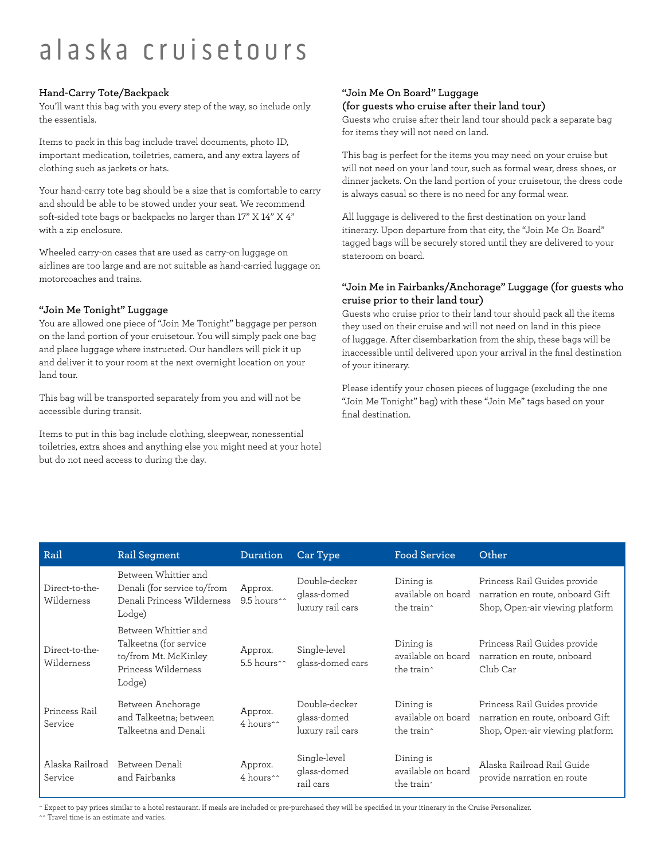#### **Hand-Carry Tote/Backpack**

You'll want this bag with you every step of the way, so include only the essentials.

Items to pack in this bag include travel documents, photo ID, important medication, toiletries, camera, and any extra layers of clothing such as jackets or hats.

Your hand-carry tote bag should be a size that is comfortable to carry and should be able to be stowed under your seat. We recommend soft-sided tote bags or backpacks no larger than 17" X 14" X 4" with a zip enclosure.

Wheeled carry-on cases that are used as carry-on luggage on airlines are too large and are not suitable as hand-carried luggage on motorcoaches and trains.

#### **"Join Me Tonight" Luggage**

You are allowed one piece of "Join Me Tonight" baggage per person on the land portion of your cruisetour. You will simply pack one bag and place luggage where instructed. Our handlers will pick it up and deliver it to your room at the next overnight location on your land tour.

This bag will be transported separately from you and will not be accessible during transit.

Items to put in this bag include clothing, sleepwear, nonessential toiletries, extra shoes and anything else you might need at your hotel but do not need access to during the day.

#### **"Join Me On Board" Luggage (for guests who cruise after their land tour)**

Guests who cruise after their land tour should pack a separate bag for items they will not need on land.

This bag is perfect for the items you may need on your cruise but will not need on your land tour, such as formal wear, dress shoes, or dinner jackets. On the land portion of your cruisetour, the dress code is always casual so there is no need for any formal wear.

All luggage is delivered to the first destination on your land itinerary. Upon departure from that city, the "Join Me On Board" tagged bags will be securely stored until they are delivered to your stateroom on board.

#### **"Join Me in Fairbanks/Anchorage" Luggage (for guests who cruise prior to their land tour)**

Guests who cruise prior to their land tour should pack all the items they used on their cruise and will not need on land in this piece of luggage. After disembarkation from the ship, these bags will be inaccessible until delivered upon your arrival in the final destination of your itinerary.

Please identify your chosen pieces of luggage (excluding the one "Join Me Tonight" bag) with these "Join Me" tags based on your final destination.

| Rail                         | <b>Rail Segment</b>                                                                                     | Duration                           | Car Type                                         | <b>Food Service</b>                                       | Other                                                                                               |
|------------------------------|---------------------------------------------------------------------------------------------------------|------------------------------------|--------------------------------------------------|-----------------------------------------------------------|-----------------------------------------------------------------------------------------------------|
| Direct-to-the-<br>Wilderness | Between Whittier and<br>Denali (for service to/from<br>Denali Princess Wilderness<br>Lodge)             | Approx.<br>9.5 hours <sup>^^</sup> | Double-decker<br>glass-domed<br>luxury rail cars | Dining is<br>available on board<br>the train^             | Princess Rail Guides provide<br>narration en route, onboard Gift<br>Shop, Open-air viewing platform |
| Direct-to-the-<br>Wilderness | Between Whittier and<br>Talkeetna (for service<br>to/from Mt. McKinley<br>Princess Wilderness<br>Lodge) | Approx.<br>5.5 hours^^             | Single-level<br>glass-domed cars                 | Dining is<br>available on board<br>the train^             | Princess Rail Guides provide<br>narration en route, onboard<br>Club Car                             |
| Princess Rail<br>Service     | Between Anchorage<br>and Talkeetna; between<br>Talkeetna and Denali                                     | Approx.<br>4 hours <sup>^^</sup>   | Double-decker<br>glass-domed<br>luxury rail cars | Dining is<br>available on board<br>the train^             | Princess Rail Guides provide<br>narration en route, onboard Gift<br>Shop, Open-air viewing platform |
| Alaska Railroad<br>Service   | Between Denali<br>and Fairbanks                                                                         | Approx.<br>4 hours <sup>^^</sup>   | Single-level<br>glass-domed<br>rail cars         | Dining is<br>available on board<br>the train <sup>^</sup> | Alaska Railroad Rail Guide<br>provide narration en route                                            |

^ Expect to pay prices similar to a hotel restaurant. If meals are included or pre-purchased they will be specified in your itinerary in the Cruise Personalizer.

^^ Travel time is an estimate and varies.